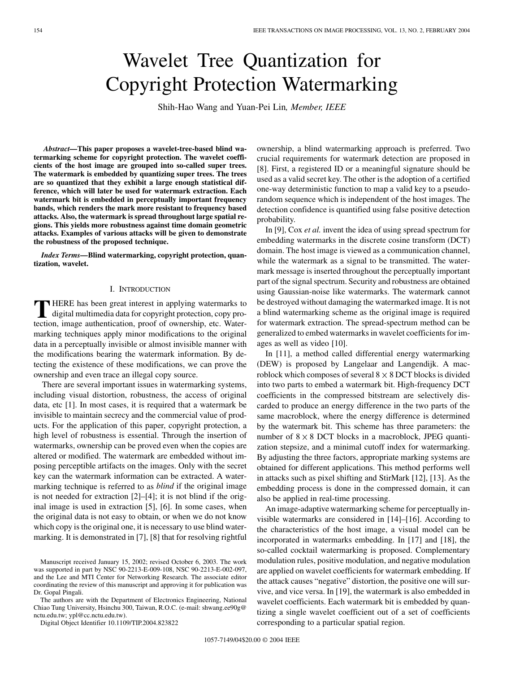# Wavelet Tree Quantization for Copyright Protection Watermarking

Shih-Hao Wang and Yuan-Pei Lin*, Member, IEEE*

*Abstract—***This paper proposes a wavelet-tree-based blind watermarking scheme for copyright protection. The wavelet coefficients of the host image are grouped into so-called super trees. The watermark is embedded by quantizing super trees. The trees are so quantized that they exhibit a large enough statistical difference, which will later be used for watermark extraction. Each watermark bit is embedded in perceptually important frequency bands, which renders the mark more resistant to frequency based attacks. Also, the watermark is spread throughout large spatial regions. This yields more robustness against time domain geometric attacks. Examples of various attacks will be given to demonstrate the robustness of the proposed technique.**

*Index Terms—***Blind watermarking, copyright protection, quantization, wavelet.**

## I. INTRODUCTION

**T** HERE has been great interest in applying watermarks to digital multimedia data for copyright protection, copy protection, image authentication, proof of ownership, etc. Watermarking techniques apply minor modifications to the original data in a perceptually invisible or almost invisible manner with the modifications bearing the watermark information. By detecting the existence of these modifications, we can prove the ownership and even trace an illegal copy source.

There are several important issues in watermarking systems, including visual distortion, robustness, the access of original data, etc [\[1](#page-10-0)]. In most cases, it is required that a watermark be invisible to maintain secrecy and the commercial value of products. For the application of this paper, copyright protection, a high level of robustness is essential. Through the insertion of watermarks, ownership can be proved even when the copies are altered or modified. The watermark are embedded without imposing perceptible artifacts on the images. Only with the secret key can the watermark information can be extracted. A watermarking technique is referred to as *blind* if the original image is not needed for extraction [[2\]](#page-10-0)–[\[4](#page-10-0)]; it is not blind if the original image is used in extraction [[5\]](#page-10-0), [\[6](#page-10-0)]. In some cases, when the original data is not easy to obtain, or when we do not know which copy is the original one, it is necessary to use blind watermarking. It is demonstrated in [[7\]](#page-10-0), [\[8](#page-10-0)] that for resolving rightful

The authors are with the Department of Electronics Engineering, National Chiao Tung University, Hsinchu 300, Taiwan, R.O.C. (e-mail: shwang.ee90g@ nctu.edu.tw; ypl@cc.nctu.edu.tw).

Digital Object Identifier 10.1109/TIP.2004.823822

ownership, a blind watermarking approach is preferred. Two crucial requirements for watermark detection are proposed in [[8\]](#page-10-0). First, a registered ID or a meaningful signature should be used as a valid secret key. The other is the adoption of a certified one-way deterministic function to map a valid key to a pseudorandom sequence which is independent of the host images. The detection confidence is quantified using false positive detection probability.

In [\[9](#page-10-0)], Cox *et al.* invent the idea of using spread spectrum for embedding watermarks in the discrete cosine transform (DCT) domain. The host image is viewed as a communication channel, while the watermark as a signal to be transmitted. The watermark message is inserted throughout the perceptually important part of the signal spectrum. Security and robustness are obtained using Gaussian-noise like watermarks. The watermark cannot be destroyed without damaging the watermarked image. It is not a blind watermarking scheme as the original image is required for watermark extraction. The spread-spectrum method can be generalized to embed watermarks in wavelet coefficients for images as well as video [[10\]](#page-10-0).

In [\[11](#page-10-0)], a method called differential energy watermarking (DEW) is proposed by Langelaar and Langendijk. A macroblock which composes of several  $8 \times 8$  DCT blocks is divided into two parts to embed a watermark bit. High-frequency DCT coefficients in the compressed bitstream are selectively discarded to produce an energy difference in the two parts of the same macroblock, where the energy difference is determined by the watermark bit. This scheme has three parameters: the number of  $8 \times 8$  DCT blocks in a macroblock, JPEG quantization stepsize, and a minimal cutoff index for watermarking. By adjusting the three factors, appropriate marking systems are obtained for different applications. This method performs well in attacks such as pixel shifting and StirMark [\[12](#page-10-0)], [[13\]](#page-10-0). As the embedding process is done in the compressed domain, it can also be applied in real-time processing.

An image-adaptive watermarking scheme for perceptually invisible watermarks are considered in [\[14](#page-10-0)]–[\[16](#page-11-0)]. According to the characteristics of the host image, a visual model can be incorporated in watermarks embedding. In [[17\]](#page-11-0) and [\[18](#page-11-0)], the so-called cocktail watermarking is proposed. Complementary modulation rules, positive modulation, and negative modulation are applied on wavelet coefficients for watermark embedding. If the attack causes "negative" distortion, the positive one will survive, and vice versa. In [[19\]](#page-11-0), the watermark is also embedded in wavelet coefficients. Each watermark bit is embedded by quantizing a single wavelet coefficient out of a set of coefficients corresponding to a particular spatial region.

Manuscript received January 15, 2002; revised October 6, 2003. The work was supported in part by NSC 90-2213-E-009-108, NSC 90-2213-E-002-097, and the Lee and MTI Center for Networking Research. The associate editor coordinating the review of this manuscript and approving it for publication was Dr. Gopal Pingali.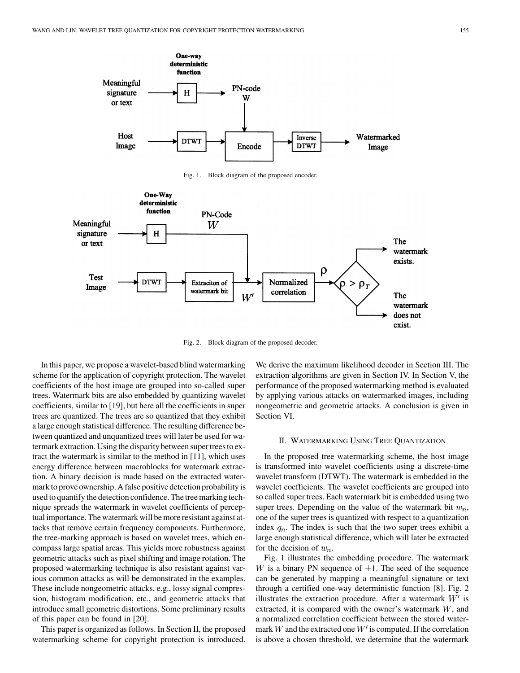

Fig. 1. Block diagram of the proposed encoder.



Fig. 2. Block diagram of the proposed decoder.

In this paper, we propose a wavelet-based blind watermarking scheme for the application of copyright protection. The wavelet coefficients of the host image are grouped into so-called super trees. Watermark bits are also embedded by quantizing wavelet coefficients, similar to [[19\]](#page-11-0), but here all the coefficients in super trees are quantized. The trees are so quantized that they exhibit a large enough statistical difference. The resulting difference between quantized and unquantized trees will later be used for watermark extraction. Using the disparity between super trees to extract the watermark is similar to the method in [\[11](#page-10-0)], which uses energy difference between macroblocks for watermark extraction. A binary decision is made based on the extracted watermark to prove ownership. A false positive detection probability is used to quantify the detection confidence. The tree marking technique spreads the watermark in wavelet coefficients of perceptual importance. The watermark will be more resistant against attacks that remove certain frequency components. Furthermore, the tree-marking approach is based on wavelet trees, which encompass large spatial areas. This yields more robustness against geometric attacks such as pixel shifting and image rotation. The proposed watermarking technique is also resistant against various common attacks as will be demonstrated in the examples. These include nongeometric attacks, e.g., lossy signal compression, histogram modification, etc., and geometric attacks that introduce small geometric distortions. Some preliminary results of this paper can be found in [[20\]](#page-11-0).

This paper is organized as follows. In Section II, the proposed watermarking scheme for copyright protection is introduced. We derive the maximum likelihood decoder in Section III. The extraction algorithms are given in Section IV. In Section V, the performance of the proposed watermarking method is evaluated by applying various attacks on watermarked images, including nongeometric and geometric attacks. A conclusion is given in Section VI.

#### II. WATERMARKING USING TREE QUANTIZATION

In the proposed tree watermarking scheme, the host image is transformed into wavelet coefficients using a discrete-time wavelet transform (DTWT). The watermark is embedded in the wavelet coefficients. The wavelet coefficients are grouped into so called super trees. Each watermark bit is embedded using two super trees. Depending on the value of the watermark bit  $w_n$ , one of the super trees is quantized with respect to a quantization index  $q_n$ . The index is such that the two super trees exhibit a large enough statistical difference, which will later be extracted for the decision of  $w_n$ .

Fig. 1 illustrates the embedding procedure. The watermark W is a binary PN sequence of  $\pm 1$ . The seed of the sequence can be generated by mapping a meaningful signature or text through a certified one-way deterministic function [[8\]](#page-10-0). Fig. 2 illustrates the extraction procedure. After a watermark  $W'$  is extracted, it is compared with the owner's watermark  $W$ , and a normalized correlation coefficient between the stored watermark  $W$  and the extracted one  $W'$  is computed. If the correlation is above a chosen threshold, we determine that the watermark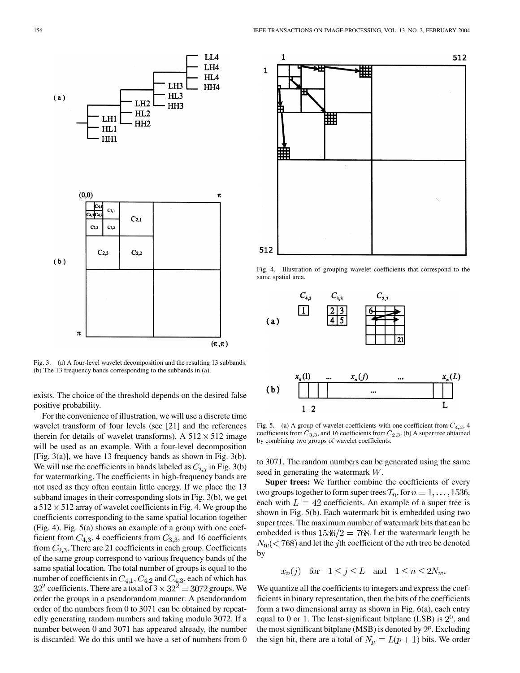

Fig. 3. (a) A four-level wavelet decomposition and the resulting 13 subbands. (b) The 13 frequency bands corresponding to the subbands in (a).

exists. The choice of the threshold depends on the desired false positive probability.

For the convenience of illustration, we will use a discrete time wavelet transform of four levels (see [[21\]](#page-11-0) and the references therein for details of wavelet transforms). A  $512 \times 512$  image will be used as an example. With a four-level decomposition [Fig. 3(a)], we have 13 frequency bands as shown in Fig. 3(b). We will use the coefficients in bands labeled as  $C_{i,j}$  in Fig. 3(b) for watermarking. The coefficients in high-frequency bands are not used as they often contain little energy. If we place the 13 subband images in their corresponding slots in Fig. 3(b), we get  $a 512 \times 512$  array of wavelet coefficients in Fig. 4. We group the coefficients corresponding to the same spatial location together (Fig. 4). Fig. 5(a) shows an example of a group with one coefficient from  $C_{4,3}$ , 4 coefficients from  $C_{3,3}$ , and 16 coefficients from  $C_{2,3}$ . There are 21 coefficients in each group. Coefficients of the same group correspond to various frequency bands of the same spatial location. The total number of groups is equal to the number of coefficients in  $C_{4,1}$ ,  $C_{4,2}$  and  $C_{4,3}$ , each of which has  $32^2$  coefficients. There are a total of  $3 \times 32^2 = 3072$  groups. We order the groups in a pseudorandom manner. A pseudorandom order of the numbers from 0 to 3071 can be obtained by repeatedly generating random numbers and taking modulo 3072. If a number between 0 and 3071 has appeared already, the number is discarded. We do this until we have a set of numbers from 0



Fig. 4. Illustration of grouping wavelet coefficients that correspond to the same spatial area.



Fig. 5. (a) A group of wavelet coefficients with one coefficient from  $C_{4,3}$ , 4 coefficients from  $C_{3,3}$  , and 16 coefficients from  $C_{2,3}$  . (b) A super tree obtained by combining two groups of wavelet coefficients.

to 3071. The random numbers can be generated using the same seed in generating the watermark  $W$ .

**Super trees:** We further combine the coefficients of every two groups together to form super trees  $T_n$ , for  $n = 1, \ldots, 1536$ , each with  $L = 42$  coefficients. An example of a super tree is shown in Fig. 5(b). Each watermark bit is embedded using two super trees. The maximum number of watermark bits that can be embedded is thus  $1536/2 = 768$ . Let the watermark length be  $N_w$  (< 768) and let the jth coefficient of the *n*th tree be denoted by

$$
x_n(j)
$$
 for  $1 \le j \le L$  and  $1 \le n \le 2N_w$ .

We quantize all the coefficients to integers and express the coefficients in binary representation, then the bits of the coefficients form a two dimensional array as shown in Fig. 6(a), each entry equal to 0 or 1. The least-significant bitplane (LSB) is  $2^0$ , and the most significant bitplane (MSB) is denoted by  $2^p$ . Excluding the sign bit, there are a total of  $N_p = L(p + 1)$  bits. We order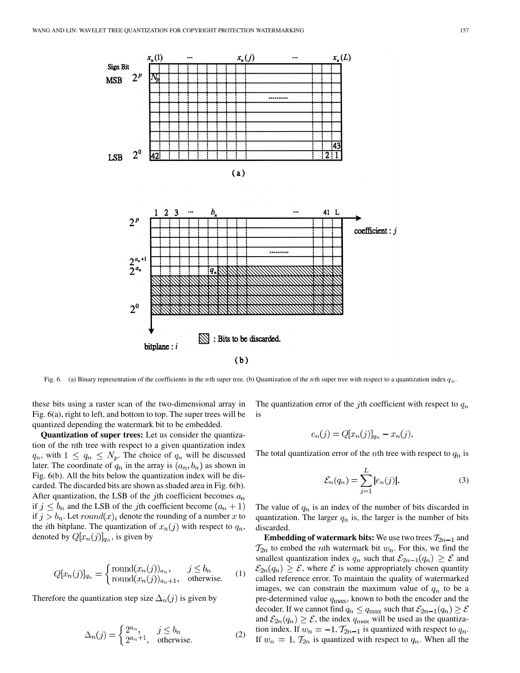

Fig. 6. (a) Binary representation of the coefficients in the nth super tree. (b) Quantization of the nth super tree with respect to a quantization index  $q_n$ .

these bits using a raster scan of the two-dimensional array in Fig. 6(a), right to left, and bottom to top. The super trees will be quantized depending the watermark bit to be embedded.

**Quantization of super trees:** Let us consider the quantization of the  $n$ th tree with respect to a given quantization index  $q_n$ , with  $1 \leq q_n \leq N_p$ . The choice of  $q_n$  will be discussed later. The coordinate of  $q_n$  in the array is  $(a_n, b_n)$  as shown in Fig. 6(b). All the bits below the quantization index will be discarded. The discarded bits are shown as shaded area in Fig. 6(b). After quantization, the LSB of the jth coefficient becomes  $a_n$ if  $j \leq b_n$  and the LSB of the jth coefficient become  $(a_n + 1)$ if  $j > b_n$ . Let  $round(x)_i$  denote the rounding of a number x to the *i*th bitplane. The quantization of  $x_n(j)$  with respect to  $q_n$ , denoted by  $Q[x_n(j)]_{q_n}$ , is given by

$$
Q[x_n(j)]_{q_n} = \begin{cases} \text{round}(x_n(j))_{a_n}, & j \le b_n \\ \text{round}(x_n(j))_{a_n+1}, & \text{otherwise.} \end{cases}
$$
 (1)

Therefore the quantization step size  $\Delta_n(j)$  is given by

$$
\Delta_n(j) = \begin{cases} 2^{a_n}, & j \le b_n \\ 2^{a_n+1}, & \text{otherwise.} \end{cases}
$$
 (2)

The quantization error of the *j*th coefficient with respect to  $q_n$ is

$$
e_n(j) = Q[x_n(j)]_{q_n} - x_n(j).
$$

The total quantization error of the *n*th tree with respect to  $q_n$  is

$$
\mathcal{E}_n(q_n) = \sum_{j=1}^L |e_n(j)|. \tag{3}
$$

The value of  $q_n$  is an index of the number of bits discarded in quantization. The larger  $q_n$  is, the larger is the number of bits discarded.

**Embedding of watermark bits:** We use two trees  $T_{2n-1}$  and  $T_{2n}$  to embed the *n*th watermark bit  $w_n$ . For this, we find the smallest quantization index  $q_n$  such that  $\mathcal{E}_{2n-1}(q_n) \geq \mathcal{E}$  and  $\mathcal{E}_{2n}(q_n) \geq \mathcal{E}$ , where  $\mathcal E$  is some appropriately chosen quantity called reference error. To maintain the quality of watermarked images, we can constrain the maximum value of  $q_n$  to be a pre-determined value  $q_{\text{max}}$ , known to both the encoder and the decoder. If we cannot find  $q_n \leq q_{\text{max}}$  such that  $\mathcal{E}_{2n-1}(q_n) \geq \mathcal{E}$ and  $\mathcal{E}_{2n}(q_n) \geq \mathcal{E}$ , the index  $q_{\text{max}}$  will be used as the quantization index. If  $w_n = -1$ ,  $T_{2n-1}$  is quantized with respect to  $q_n$ . If  $w_n = 1$ ,  $\mathcal{T}_{2n}$  is quantized with respect to  $q_n$ . When all the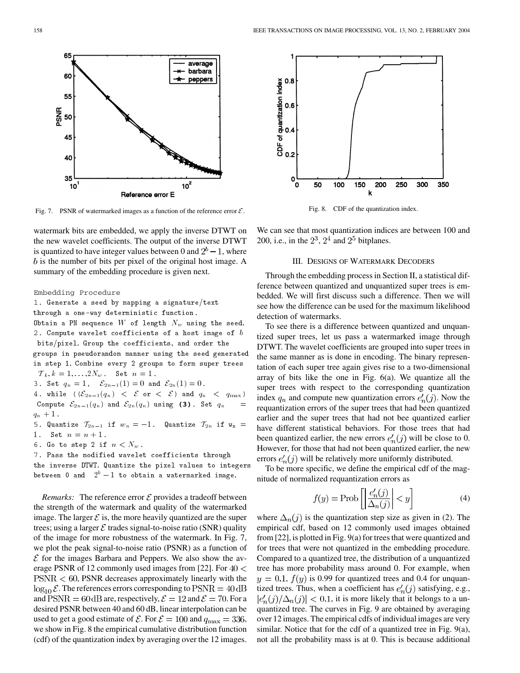

Fig. 7. PSNR of watermarked images as a function of the reference error  $\mathcal{E}$ .

watermark bits are embedded, we apply the inverse DTWT on the new wavelet coefficients. The output of the inverse DTWT is quantized to have integer values between 0 and  $2<sup>b</sup> - 1$ , where  $b$  is the number of bits per pixel of the original host image. A summary of the embedding procedure is given next.

Embedding Procedure

1. Generate a seed by mapping a signature/text through a one-way deterministic function. Obtain a PN sequence  $W$  of length  $N_w$  using the seed. 2. Compute wavelet coefficients of a host image of  $b$  $bits/pixel.$  Group the coefficients, and order the groups in pseudorandom manner using the seed generated in step 1: Combine every 2 groups to form super trees  $\mathcal{T}_k, k = 1, \ldots, 2N_w$ . Set  $n = 1$ . 3. Set  $q_n = 1$ ,  $\mathcal{E}_{2n-1}(1) = 0$  and  $\mathcal{E}_{2n}(1) = 0$ .  $\begin{aligned} \mathcal{L}_k, & k=1,\ldots,2N_w\,. \quad \text{Set}\ \ n=1\,. \ \end{aligned}$ <br>3. Set  $q_n=1\,,\quad \mathcal{E}_{2n-1}(1)=0$  and  $\mathcal{E}_{2n}(1)=0\,.$ <br>4. while  $((\mathcal{E}_{2n-1}(q_n)~<~\mathcal{E}\ \text{or}~<~\mathcal{E})$  and  $q_n~<~q_{\max})$ 

Set  $q_n = 1$ ,  $\mathcal{E}_{2n-1}(1) = 0$  and  $\mathcal{E}_{2n}(1) = 0$ .<br>
. while  $((\mathcal{E}_{2n-1}(q_n)) < \mathcal{E}$  or  $< \mathcal{E})$  and  $q_n < q_{\text{max}}$ )<br>
Compute  $\mathcal{E}_{2n-1}(q_n)$  and  $\mathcal{E}_{2n}(q_n)$  using (3). Set  $q_n =$  $q_n + 1$ . Compute  $\mathcal{E}_{2n-1}(q_n)$  and  $\mathcal{E}_{2n}(q_n)$  using (3). Set  $q_n =$ <br>  $q_n + 1$ .<br>
5. Quantize  $\mathcal{T}_{2n-1}$  if  $w_n = -1$ . Quantize  $\mathcal{T}_{2n}$  if  $w_n =$ 

1. Set  $n = n + 1$ .

6. Go to step 2 if  $n < N_w$ .

7. Pass the modified wavelet coefficients through the inverse DTWT: Quantize the pixel values to integers between 0 and  $2^b - 1$  to obtain a watermarked image.

*Remarks:* The reference error  $\mathcal E$  provides a tradeoff between the strength of the watermark and quality of the watermarked image. The larger  $\mathcal E$  is, the more heavily quantized are the super trees; using a larger  $\mathcal E$  trades signal-to-noise ratio (SNR) quality of the image for more robustness of the watermark. In Fig. 7, we plot the peak signal-to-noise ratio (PSNR) as a function of  $\mathcal E$  for the images Barbara and Peppers. We also show the av-erage PSNR of 12 commonly used images from [[22\]](#page-11-0). For  $40 <$  $PSNR < 60$ , PSNR decreases approximately linearly with the  $\log_{10}$   $\mathcal{E}$ . The references errors corresponding to  $PSNR = 40 \text{ dB}$ and PSNR = 60 dB are, respectively,  $\mathcal{E} = 12$  and  $\mathcal{E} = 70$ . For a desired PSNR between 40 and 60 dB, linear interpolation can be used to get a good estimate of  $\mathcal{E}$ . For  $\mathcal{E} = 100$  and  $q_{\text{max}} = 336$ , we show in Fig. 8 the empirical cumulative distribution function (cdf) of the quantization index by averaging over the 12 images.



Fig. 8. CDF of the quantization index.

We can see that most quantization indices are between 100 and 200, i.e., in the  $2^3$ ,  $2^4$  and  $2^5$  bitplanes.

# III. DESIGNS OF WATERMARK DECODERS

Through the embedding process in Section II, a statistical difference between quantized and unquantized super trees is embedded. We will first discuss such a difference. Then we will see how the difference can be used for the maximum likelihood detection of watermarks.

To see there is a difference between quantized and unquantized super trees, let us pass a watermarked image through DTWT. The wavelet coefficients are grouped into super trees in the same manner as is done in encoding. The binary representation of each super tree again gives rise to a two-dimensional array of bits like the one in Fig. 6(a). We quantize all the super trees with respect to the corresponding quantization index  $q_n$  and compute new quantization errors  $e'_n(j)$ . Now the requantization errors of the super trees that had been quantized earlier and the super trees that had not bee quantized earlier have different statistical behaviors. For those trees that had been quantized earlier, the new errors  $e'_n(j)$  will be close to 0. However, for those that had not been quantized earlier, the new errors  $e'_n(j)$  will be relatively more uniformly distributed.

To be more specific, we define the empirical cdf of the magnitude of normalized requantization errors as

 $\boldsymbol{f}$ 

$$
(y) = \text{Prob}\left[\left|\frac{e'_n(j)}{\Delta_n(j)}\right| < y\right] \tag{4}
$$

where  $\Delta_n(j)$  is the quantization step size as given in (2). The empirical cdf, based on 12 commonly used images obtained from [\[22](#page-11-0)], is plotted in Fig. 9(a) for trees that were quantized and for trees that were not quantized in the embedding procedure. Compared to a quantized tree, the distribution of a unquantized tree has more probability mass around 0. For example, when  $y = 0.1$ ,  $f(y)$  is 0.99 for quantized trees and 0.4 for unquantized trees. Thus, when a coefficient has  $e'_n(j)$  satisfying, e.g.,  $|e'_n(j)/\Delta_n(j)| < 0.1$ , it is more likely that it belongs to a unquantized tree. The curves in Fig. 9 are obtained by averaging over 12 images. The empirical cdfs of individual images are very similar. Notice that for the cdf of a quantized tree in Fig. 9(a), not all the probability mass is at 0. This is because additional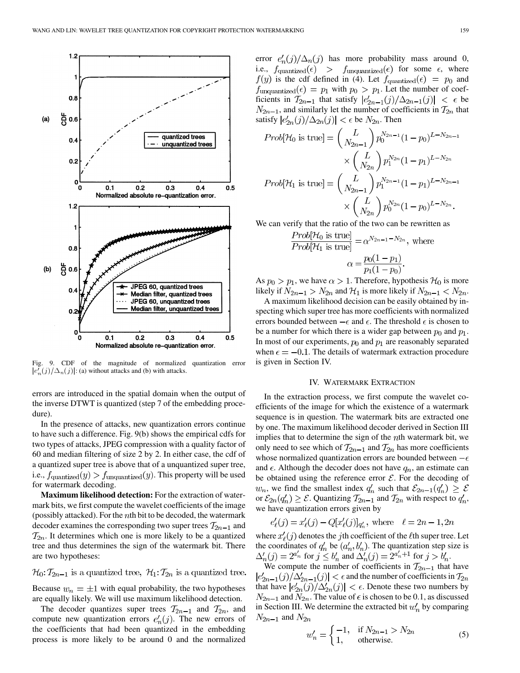

Fig. 9. CDF of the magnitude of normalized quantization error  $|e_{n}^{r}(j)/\Delta_{n}(j)|$ : (a) without attacks and (b) with attacks.

errors are introduced in the spatial domain when the output of the inverse DTWT is quantized (step 7 of the embedding procedure).

In the presence of attacks, new quantization errors continue to have such a difference. Fig. 9(b) shows the empirical cdfs for two types of attacks, JPEG compression with a quality factor of 60 and median filtering of size 2 by 2. In either case, the cdf of a quantized super tree is above that of a unquantized super tree, i.e.,  $f_{\text{quantized}}(y) > f_{\text{unquantized}}(y)$ . This property will be used for watermark decoding.

**Maximum likelihood detection:** For the extraction of watermark bits, we first compute the wavelet coefficients of the image (possibly attacked). For the *th bit to be decoded, the watermark* decoder examines the corresponding two super trees  $\mathcal{T}_{2n-1}$  and  $\mathcal{T}_{2n}$ . It determines which one is more likely to be a quantized tree and thus determines the sign of the watermark bit. There are two hypotheses:

 $\mathcal{H}_0: \mathcal{T}_{2n-1}$  is a quantized tree,  $\mathcal{H}_1: \mathcal{T}_{2n}$  is a quantized tree.

Because  $w_n = \pm 1$  with equal probability, the two hypotheses are equally likely. We will use maximum likelihood detection.

The decoder quantizes super trees  $T_{2n-1}$  and  $T_{2n}$ , and compute new quantization errors  $e'_n(j)$ . The new errors of the coefficients that had been quantized in the embedding process is more likely to be around 0 and the normalized error  $e'_n(j)/\Delta_n(j)$  has more probability mass around 0, i.e.,  $f_{\text{quantized}}(\epsilon)$  >  $f_{\text{unquantized}}(\epsilon)$  for some  $\epsilon$ , where  $f(y)$  is the cdf defined in (4). Let  $f_{\text{quantized}}(\epsilon) = p_0$  and  $f_{\text{unquantized}}(\epsilon) = p_1$  with  $p_0 > p_1$ . Let the number of coefficients in  $T_{2n-1}$  that satisfy  $|e'_{2n-1}(j)/\Delta_{2n-1}(j)| < \epsilon$  be  $N_{2n-1}$ , and similarly let the number of coefficients in  $\mathcal{T}_{2n}$  that satisfy  $|e'_{2n}(j)/\Delta_{2n}(j)| < \epsilon$  be  $N_{2n}$ . Then

$$
Prob[\mathcal{H}_0 \text{ is true}] = {L \choose N_{2n-1}} p_0^{N_{2n-1}} (1-p_0)^{L-N_{2n-1}}
$$

$$
\times {L \choose N_{2n}} p_1^{N_{2n}} (1-p_1)^{L-N_{2n}}
$$

$$
Prob[\mathcal{H}_1 \text{ is true}] = {L \choose N_{2n-1}} p_1^{N_{2n-1}} (1-p_1)^{L-N_{2n-1}}
$$

$$
\times {L \choose N_{2n}} p_0^{N_{2n}} (1-p_0)^{L-N_{2n}}.
$$

We can verify that the ratio of the two can be rewritten as

$$
\frac{Prob[\mathcal{H}_0 \text{ is true}]}{Prob[\mathcal{H}_1 \text{ is true}]} = \alpha^{N_{2n-1} - N_{2n}}, \text{ where}
$$

$$
\alpha = \frac{p_0(1 - p_1)}{p_1(1 - p_0)}.
$$

As  $p_0 > p_1$ , we have  $\alpha > 1$ . Therefore, hypothesis  $\mathcal{H}_0$  is more likely if  $N_{2n-1} > N_{2n}$  and  $\mathcal{H}_1$  is more likely if  $N_{2n-1} < N_{2n}$ .

A maximum likelihood decision can be easily obtained by inspecting which super tree has more coefficients with normalized errors bounded between  $-\epsilon$  and  $\epsilon$ . The threshold  $\epsilon$  is chosen to be a number for which there is a wider gap between  $p_0$  and  $p_1$ . In most of our experiments,  $p_0$  and  $p_1$  are reasonably separated when  $\epsilon = -0.1$ . The details of watermark extraction procedure is given in Section IV.

### IV. WATERMARK EXTRACTION

In the extraction process, we first compute the wavelet coefficients of the image for which the existence of a watermark sequence is in question. The watermark bits are extracted one by one. The maximum likelihood decoder derived in Section III implies that to determine the sign of the  $n$ th watermark bit, we only need to see which of  $\mathcal{T}_{2n-1}$  and  $\mathcal{T}_{2n}$  has more coefficients whose normalized quantization errors are bounded between  $-\epsilon$ and  $\epsilon$ . Although the decoder does not have  $q_n$ , an estimate can be obtained using the reference error  $\mathcal{E}$ . For the decoding of  $w_n$ , we find the smallest index  $q'_n$  such that  $\mathcal{E}_{2n-1}(q'_n) \geq \mathcal{E}$ or  $\mathcal{E}_{2n}(q'_n) \geq \mathcal{E}$ . Quantizing  $\mathcal{T}_{2n-1}$  and  $\mathcal{T}_{2n}$  with respect to  $q'_n$ , we have quantization errors given by

$$
e'_{\ell}(j) = x'_{\ell}(j) - Q[x'_{\ell}(j)]_{q'_{n}}, \text{ where } \ell = 2n - 1, 2n
$$

where  $x'_{\ell}(j)$  denotes the jth coefficient of the  $\ell$ th super tree. Let the coordinates of  $q'_n$  be  $(a'_n, b'_n)$ . The quantization step size is for  $j \leq b'_n$  and  $\Delta'_n(j) = 2^{a'_n+1}$  for  $j > b'_n$ .

We compute the number of coefficients in  $T_{2n-1}$  that have  $|e'_{2n-1}(j)/\Delta'_{2n-1}(j)| < \epsilon$  and the number of coefficients in  $\mathcal{T}_{2n}$ that have  $|e'_{2n}(j)/\Delta'_{2n}(j)| < \epsilon$ . Denote these two numbers by  $N_{2n-1}$  and  $N_{2n}$ . The value of  $\epsilon$  is chosen to be 0.1, as discussed in Section III. We determine the extracted bit  $w'_n$  by comparing  $N_{2n-1}$  and  $N_{2n}$ 

$$
w'_n = \begin{cases} -1, & \text{if } N_{2n-1} > N_{2n} \\ 1, & \text{otherwise.} \end{cases} \tag{5}
$$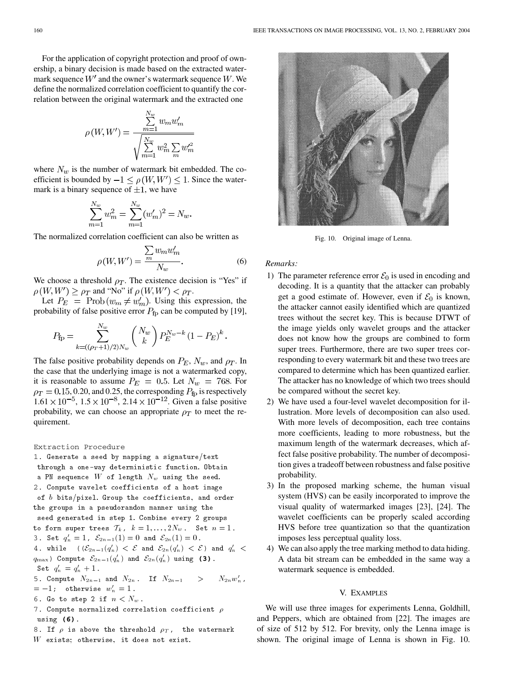For the application of copyright protection and proof of ownership, a binary decision is made based on the extracted watermark sequence  $W'$  and the owner's watermark sequence  $W$ . We define the normalized correlation coefficient to quantify the correlation between the original watermark and the extracted one

$$
\rho(W,W') = \frac{\sum_{m=1}^{N_w} w_m w'_m}{\sqrt{\sum_{m=1}^{N_w} w_m^2 \sum_m w_m^2}}
$$

where  $N_w$  is the number of watermark bit embedded. The coefficient is bounded by  $-1 \le \rho(W, W') \le 1$ . Since the watermark is a binary sequence of  $\pm 1$ , we have

$$
\sum_{m=1}^{N_w} w_m^2 = \sum_{m=1}^{N_w} (w'_m)^2 = N_w.
$$

The normalized correlation coefficient can also be written as

$$
\rho(W, W') = \frac{\sum_{m} w_m w'_m}{N_w}.
$$
\n(6)

We choose a threshold  $\rho_T$ . The existence decision is "Yes" if  $\rho(W, W') \ge \rho_T$  and "No" if  $\rho(W, W') < \rho_T$ .

Let  $P_E$  = Prob $(w_m \neq w'_m)$ . Using this expression, the probability of false positive error  $P_{\text{fp}}$  can be computed by [[19\]](#page-11-0),

$$
P_{\text{fp}} = \sum_{k = ((\rho_T + 1)/2)N_w}^{N_w} \binom{N_w}{k} P_E^{N_w - k} (1 - P_E)^k
$$

The false positive probability depends on  $P_E$ ,  $N_w$ , and  $\rho_T$ . In the case that the underlying image is not a watermarked copy, it is reasonable to assume  $P_E = 0.5$ . Let  $N_w = 768$ . For  $\rho_T = 0.15, 0.20,$  and 0.25, the corresponding  $P_{\text{fp}}$  is respectively  $1.61 \times 10^{-5}$ ,  $1.5 \times 10^{-8}$ ,  $2.14 \times 10^{-12}$ . Given a false positive probability, we can choose an appropriate  $\rho_T$  to meet the requirement.

## Extraction Procedure

1. Generate a seed by mapping a signature/text through a one-way deterministic function: Obtain a PN sequence  $W$  of length  $N_w$  using the seed. 2. Compute wavelet coefficients of a host image of  $b$  bits/pixel. Group the coefficients, and order the groups in a pseudorandom manner using the seed generated in step 1: Combine every 2 groups to form super trees  $T_k$ ,  $k = 1, ..., 2N_w$ . Set  $n = 1$ . 3. Set  $q'_n = 1$ ,  $\mathcal{E}_{2n-1}(1) = 0$  and  $\mathcal{E}_{2n}(1) = 0$ . 4. while  $((\mathcal{E}_{2n-1}(q'_n)) < \mathcal{E}$  and  $\mathcal{E}_{2n}(q'_n) < \mathcal{E})$  and  $q'_n < \mathcal{E}$  $q_{\text{max}}$ ) Compute  $\mathcal{E}_{2n-1}(q'_n)$  and  $\mathcal{E}_{2n}(q'_n)$  using (3). Set  $q'_n = q'_n + 1$ .

5. Compute  $N_{2n-1}$  and  $N_{2n}$ . If  $N_{2n-1}$  >  $N_{2n}w'_{n}$ ,  $= -1$ ; otherwise  $w'_n = 1$ .

6. Go to step 2 if  $n < N_w$ .

7. Compute normalized correlation coefficient  $\rho$ using **(6)**.

8. If  $\rho$  is above the threshold  $\rho_T$ , the watermark  $W$  exists; otherwise, it does not exist.



Fig. 10. Original image of Lenna.

### *Remarks:*

- 1) The parameter reference error  $\mathcal{E}_0$  is used in encoding and decoding. It is a quantity that the attacker can probably get a good estimate of. However, even if  $\mathcal{E}_0$  is known, the attacker cannot easily identified which are quantized trees without the secret key. This is because DTWT of the image yields only wavelet groups and the attacker does not know how the groups are combined to form super trees. Furthermore, there are two super trees corresponding to every watermark bit and these two trees are compared to determine which has been quantized earlier. The attacker has no knowledge of which two trees should be compared without the secret key.
- 2) We have used a four-level wavelet decomposition for illustration. More levels of decomposition can also used. With more levels of decomposition, each tree contains more coefficients, leading to more robustness, but the maximum length of the watermark decreases, which affect false positive probability. The number of decomposition gives a tradeoff between robustness and false positive probability.
- 3) In the proposed marking scheme, the human visual system (HVS) can be easily incorporated to improve the visual quality of watermarked images [[23\]](#page-11-0), [[24\]](#page-11-0). The wavelet coefficients can be properly scaled according HVS before tree quantization so that the quantization imposes less perceptual quality loss.
- 4) We can also apply the tree marking method to data hiding. A data bit stream can be embedded in the same way a watermark sequence is embedded.

### V. EXAMPLES

We will use three images for experiments Lenna, Goldhill, and Peppers, which are obtained from [[22](#page-11-0)]. The images are of size of 512 by 512. For brevity, only the Lenna image is shown. The original image of Lenna is shown in Fig. 10.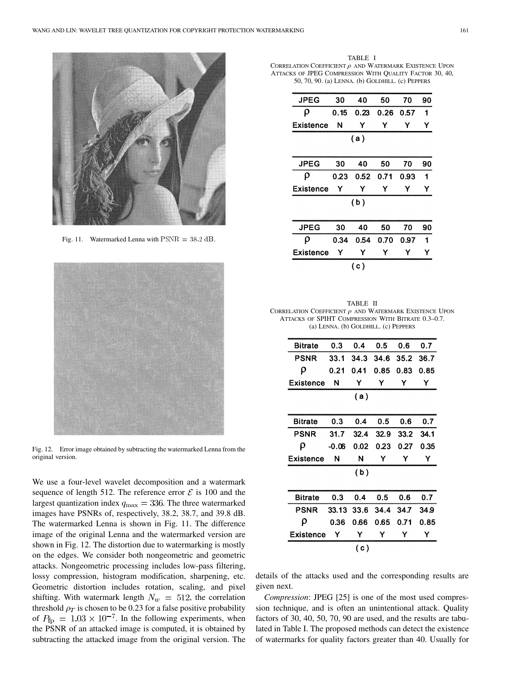

Fig. 11. Watermarked Lenna with PSNR = 38:2 dB.



Fig. 12. Error image obtained by subtracting the watermarked Lenna from the original version.

We use a four-level wavelet decomposition and a watermark sequence of length 512. The reference error  $\mathcal E$  is 100 and the largest quantization index  $q_{\text{max}} = 336$ . The three watermarked images have PSNRs of, respectively, 38.2, 38.7, and 39.8 dB. The watermarked Lenna is shown in Fig. 11. The difference image of the original Lenna and the watermarked version are shown in Fig. 12. The distortion due to watermarking is mostly on the edges. We consider both nongeometric and geometric attacks. Nongeometric processing includes low-pass filtering, lossy compression, histogram modification, sharpening, etc. Geometric distortion includes rotation, scaling, and pixel shifting. With watermark length  $N_w = 512$ , the correlation threshold  $\rho_T$  is chosen to be 0.23 for a false positive probability of  $P_{\text{fp}} = 1.03 \times 10^{-7}$ . In the following experiments, when the PSNR of an attacked image is computed, it is obtained by subtracting the attacked image from the original version. The

TABLE I CORRELATION COEFFICIENT  $\rho$  and Watermark Existence Upon ATTACKS OF JPEG COMPRESSION WITH QUALITY FACTOR 30, 40, 50, 70, 90. (a) LENNA. (b) GOLDHILL. (c) PEPPERS

| 30   | 40   | 50                | 70                | 90          |
|------|------|-------------------|-------------------|-------------|
| 0.15 | 0.23 |                   |                   | 1           |
| N    | Y    | Υ                 | Y                 | Υ           |
|      |      |                   |                   |             |
|      |      |                   |                   |             |
| 30   | 40   | 50                | 70                | 90          |
| 0.23 |      |                   | 0.93              | 1           |
| Y    | Υ    | Y                 | Y                 | Y           |
|      |      |                   |                   |             |
|      |      |                   |                   |             |
| 30   | 40   | 50                | 70                | 90          |
| 0.34 | 0.54 | 0.70              | 0.97              | 1           |
| Y    | Y    | Y                 | Y                 | Y           |
|      |      |                   |                   |             |
|      |      |                   |                   |             |
|      |      | (a)<br>(b)<br>(c) | $0.52 \quad 0.71$ | $0.26$ 0.57 |

TABLE II CORRELATION COEFFICIENT  $\rho$  and Watermark Existence Upon ATTACKS OF SPIHT COMPRESSION WITH BITRATE 0.3–0.7. (a) LENNA. (b) GOLDHILL. (c) PEPPERS

| Bitrate          | 0.3     | 0.4   | 0.5  | 0.6  | 0.7  |
|------------------|---------|-------|------|------|------|
| PSNR             | 33.1    | 34.3  | 34.6 | 35.2 | 36.7 |
| ρ                | 0.21    | 0.41  | 0.85 | 0.83 | 0.85 |
| Existence        | N       | Y     | Y    | Y    | Y    |
|                  |         | (a)   |      |      |      |
| <b>Bitrate</b>   | 0.3     | 0.4   | 0.5  | 0.6  | 0.7  |
| <b>PSNR</b>      | 31.7    | 32.4  | 32.9 | 33.2 | 34.1 |
| ρ                | $-0.06$ | 0.02  | 0.23 | 0.27 | 0.35 |
| <b>Existence</b> | N       | N     | Y    | Y    | Y    |
|                  |         | (b)   |      |      |      |
| <b>Bitrate</b>   | 0.3     | 0.4   | 0.5  | 0.6  | 0.7  |
| <b>PSNR</b>      | 33.13   | 33.6  | 34.4 | 34.7 | 34.9 |
| ρ                | 0.36    | 0.66  | 0.65 | ი 71 | 0.85 |
| Existence        | Y       | Y     | Y    | Y    | Y    |
|                  |         | ( c ) |      |      |      |

details of the attacks used and the corresponding results are given next.

*Compression*: JPEG [[25\]](#page-11-0) is one of the most used compression technique, and is often an unintentional attack. Quality factors of 30, 40, 50, 70, 90 are used, and the results are tabulated in Table I. The proposed methods can detect the existence of watermarks for quality factors greater than 40. Usually for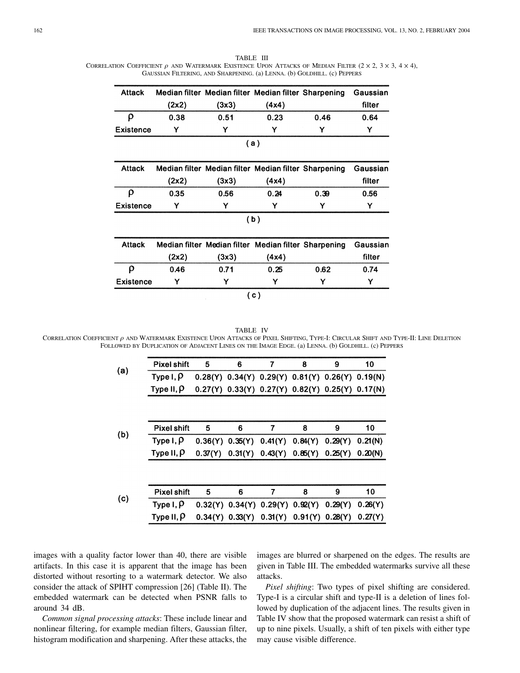TABLE III CORRELATION COEFFICIENT  $\rho$  and Watermark Existence Upon Attacks of Median Filter (2 × 2, 3 × 3, 4 × 4), GAUSSIAN FILTERING, AND SHARPENING. (a) LENNA. (b) GOLDHILL. (c) PEPPERS

| <b>Attack</b>    |       |       | Median filter Median filter Median filter Sharpening |      | Gaussian |
|------------------|-------|-------|------------------------------------------------------|------|----------|
|                  | (2x2) | (3x3) | (4x4)                                                |      | filter   |
| ρ                | 0.38  | 0.51  | 0.23                                                 | 0.46 | 0.64     |
| <b>Existence</b> | Y     | Y     | Y                                                    | Y    | Y        |
|                  |       |       | (a)                                                  |      |          |
| <b>Attack</b>    |       |       | Median filter Median filter Median filter Sharpening |      | Gaussian |
|                  | (2x2) | (3x3) | (4x4)                                                |      | filter   |
| ρ                | 0.35  | 0.56  | 0.24                                                 | 0.39 | 0.56     |
| <b>Existence</b> | Y     | Y     | Y                                                    | Y    | Y        |
|                  |       |       | (b)                                                  |      |          |
| <b>Attack</b>    |       |       | Median filter Median filter Median filter Sharpening |      | Gaussian |
|                  | (2x2) | (3x3) | (4x4)                                                |      | filter   |
| ρ                | 0.46  | 0.71  | 0.25                                                 | 0.62 | 0.74     |
| <b>Existence</b> | Y     | Y     | Y                                                    | Y    | Y        |
|                  |       |       | ( c )                                                |      |          |

TABLE IV

CORRELATION COEFFICIENT  $\rho$  and WATERMARK EXISTENCE UPON ATTACKS OF PIXEL SHIFTING, TYPE-I: CIRCULAR SHIFT AND TYPE-II: LINE DELETION FOLLOWED BY DUPLICATION OF ADJACENT LINES ON THE IMAGE EDGE. (a) LENNA. (b) GOLDHILL. (c) PEPPERS

| <b>Pixel shift</b> | 5                                       | 6                             | 7                                                           | 8       | 9       | 10      |
|--------------------|-----------------------------------------|-------------------------------|-------------------------------------------------------------|---------|---------|---------|
| Type $I, P$        |                                         |                               | $0.28(Y)$ $0.34(Y)$ $0.29(Y)$ $0.81(Y)$ $0.26(Y)$ $0.19(N)$ |         |         |         |
| Type II, $\rho$    |                                         |                               | $0.27(Y)$ $0.33(Y)$ $0.27(Y)$ $0.82(Y)$ $0.25(Y)$ $0.17(N)$ |         |         |         |
|                    |                                         |                               |                                                             |         |         |         |
| <b>Pixel shift</b> | 5                                       | 6                             | 7                                                           | 8       | 9       | 10      |
| Type $I, P$        |                                         | $0.36(Y)$ $0.35(Y)$ $0.41(Y)$ |                                                             | 0.84(Y) | 0.29(Y) | 0.21(N) |
| Type II, $\rho$    | 0.37(Y)                                 | 0.31(Y)                       | 0.43(Y)                                                     | 0.85(Y) | 0.25(Y) | 0.20(N) |
|                    |                                         |                               |                                                             |         |         |         |
| <b>Pixel shift</b> | 5                                       | 6                             | 7                                                           | 8       | 9       | 10      |
|                    |                                         |                               |                                                             |         | 0.29(Y) | 0.26(Y) |
| Type $I, P$        | $0.32(Y)$ $0.34(Y)$ $0.29(Y)$ $0.92(Y)$ |                               |                                                             |         |         |         |

images with a quality factor lower than 40, there are visible artifacts. In this case it is apparent that the image has been distorted without resorting to a watermark detector. We also consider the attack of SPIHT compression [[26\]](#page-11-0) (Table II). The embedded watermark can be detected when PSNR falls to around 34 dB.

*Common signal processing attacks*: These include linear and nonlinear filtering, for example median filters, Gaussian filter, histogram modification and sharpening. After these attacks, the images are blurred or sharpened on the edges. The results are given in Table III. The embedded watermarks survive all these attacks.

*Pixel shifting*: Two types of pixel shifting are considered. Type-I is a circular shift and type-II is a deletion of lines followed by duplication of the adjacent lines. The results given in Table IV show that the proposed watermark can resist a shift of up to nine pixels. Usually, a shift of ten pixels with either type may cause visible difference.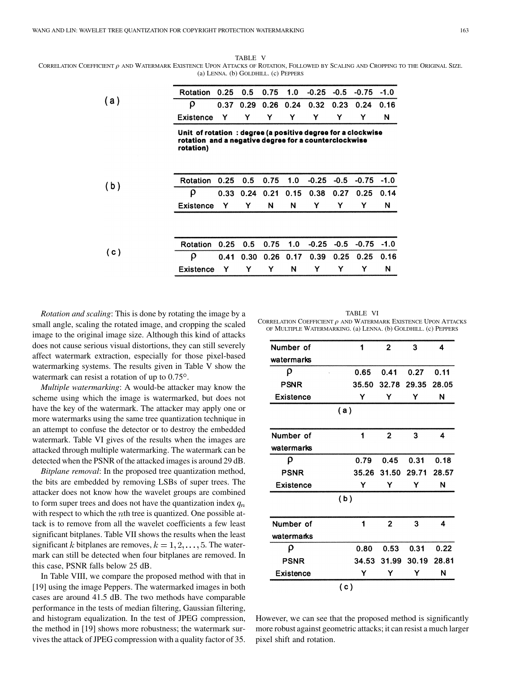TABLE V CORRELATION COEFFICIENT  $\rho$  and WATERMARK EXISTENCE UPON ATTACKS OF ROTATION, FOLLOWED BY SCALING AND CROPPING TO THE ORIGINAL SIZE. (a) LENNA. (b) GOLDHILL. (c) PEPPERS

|     | <b>Rotation</b>                                                                                                                   | 0.25 | 0.5  | 0.75        | 1.0  | $-0.25$ | $-0.5$ | $-0.75$ | -1.0   |
|-----|-----------------------------------------------------------------------------------------------------------------------------------|------|------|-------------|------|---------|--------|---------|--------|
| (a) | ρ                                                                                                                                 | 0.37 | 0.29 | $0.26$ 0.24 |      | 0.32    | 0.23   | 0.24    | 0.16   |
|     | <b>Existence</b>                                                                                                                  | Y    | Y    | Y           | Y    | Y       | Y      | Y       | N      |
|     | Unit of rotation: degree (a positive degree for a clockwise<br>rotation and a negative degree for a counterclockwise<br>rotation) |      |      |             |      |         |        |         |        |
| (b) | Rotation                                                                                                                          | 0.25 | 0.5  | 0.75        | 1.0  | $-0.25$ | $-0.5$ | $-0.75$ | $-1.0$ |
|     | ρ                                                                                                                                 | 0.33 |      | $0.24$ 0.21 | 0.15 | 0.38    | 0.27   | 0.25    | 0.14   |
|     | Existence                                                                                                                         | Υ    | Y    | N           | N    | Y       | Y      | Y       | N      |
|     |                                                                                                                                   |      |      | 0.75        | 1.0  | $-0.25$ | $-0.5$ | $-0.75$ | $-1.0$ |
|     | Rotation                                                                                                                          | 0.25 | 0.5  |             |      |         |        |         |        |
| (c) | ρ                                                                                                                                 | 0.41 | 0.30 | 0.26        | 0.17 | 0.39    | 0.25   | 0.25    | 0.16   |

*Rotation and scaling*: This is done by rotating the image by a small angle, scaling the rotated image, and cropping the scaled image to the original image size. Although this kind of attacks does not cause serious visual distortions, they can still severely affect watermark extraction, especially for those pixel-based watermarking systems. The results given in Table V show the watermark can resist a rotation of up to  $0.75^{\circ}$ .

*Multiple watermarking*: A would-be attacker may know the scheme using which the image is watermarked, but does not have the key of the watermark. The attacker may apply one or more watermarks using the same tree quantization technique in an attempt to confuse the detector or to destroy the embedded watermark. Table VI gives of the results when the images are attacked through multiple watermarking. The watermark can be detected when the PSNR of the attacked images is around 29 dB.

*Bitplane removal*: In the proposed tree quantization method, the bits are embedded by removing LSBs of super trees. The attacker does not know how the wavelet groups are combined to form super trees and does not have the quantization index  $q_n$ with respect to which the  $n$ th tree is quantized. One possible attack is to remove from all the wavelet coefficients a few least significant bitplanes. Table VII shows the results when the least significant k bitplanes are removes,  $k = 1, 2, \ldots, 5$ . The watermark can still be detected when four bitplanes are removed. In this case, PSNR falls below 25 dB.

In Table VIII, we compare the proposed method with that in [\[19](#page-11-0)] using the image Peppers. The watermarked images in both cases are around 41.5 dB. The two methods have comparable performance in the tests of median filtering, Gaussian filtering, and histogram equalization. In the test of JPEG compression, the method in [\[19](#page-11-0)] shows more robustness; the watermark survives the attack of JPEG compression with a quality factor of 35.

TABLE VI CORRELATION COEFFICIENT  $\rho$  and Watermark Existence Upon Attacks OF MULTIPLE WATERMARKING. (a) LENNA. (b) GOLDHILL. (c) PEPPERS

| Number of   |     | 1     | $\overline{2}$ | 3           | 4     |
|-------------|-----|-------|----------------|-------------|-------|
| watermarks  |     |       |                |             |       |
| ρ           |     | 0.65  | 0.41           | 0.27        | 0.11  |
| <b>PSNR</b> |     | 35.50 | 32.78          | 29.35       | 28.05 |
| Existence   |     | Y     | Y              | Y           | N     |
|             | (a) |       |                |             |       |
| Number of   |     | 1     | $\mathbf{2}$   | 3           | 4     |
| watermarks  |     |       |                |             |       |
| ρ           |     | 0.79  | 0.45           | 0.31        | 0.18  |
| <b>PSNR</b> |     | 35.26 |                | 31.50 29.71 | 28.57 |
| Existence   |     | Y     | Y              | Y           | N     |
|             | (b) |       |                |             |       |
| Number of   |     | 1     | $\overline{2}$ | 3           | 4     |
| watermarks  |     |       |                |             |       |
| ρ           |     | 0.80  | 0.53           | 0.31        | 0.22  |
| <b>PSNR</b> |     | 34.53 | 31.99          | 30.19       | 28.81 |
| Existence   |     | Y     | Y              | Y           | N     |
|             | (c) |       |                |             |       |

However, we can see that the proposed method is significantly more robust against geometric attacks; it can resist a much larger pixel shift and rotation.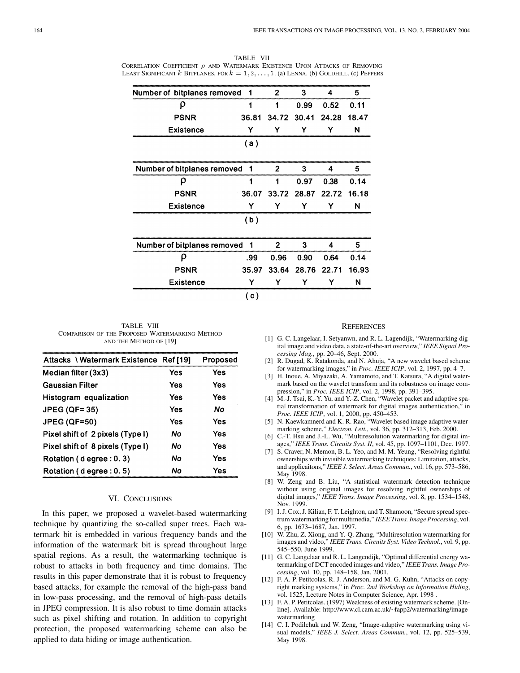| Number of bitplanes removed<br>1 | 2            | 3     | 4                    | 5     |
|----------------------------------|--------------|-------|----------------------|-------|
| 1                                | 1            | 0.99  | 0.52                 | 0.11  |
| 36.81                            |              | 30.41 | 24.28                | 18.47 |
| Y                                | Y            | Y     | Y                    | N     |
| (a)                              |              |       |                      |       |
|                                  |              |       |                      |       |
| Number of bitplanes removed<br>1 | 2            | 3     | 4                    | 5     |
| 1                                | 1            | 0.97  | 0.38                 | 0.14  |
| 36.07                            |              |       | 22.72                | 16.18 |
| Y                                | Y            | Y     | Y                    | N     |
| (b)                              |              |       |                      |       |
|                                  |              |       |                      |       |
| Number of bitplanes removed<br>1 | $\mathbf{2}$ | 3     | 4                    | 5     |
| .99                              | 0.96         | 0.90  | 0.64                 | 0.14  |
| 35.97                            | 33.64        |       | 22.71                | 16.93 |
| Y                                |              | Y     | Y                    | N     |
|                                  |              |       | 34.72<br>33.72 28.87 | 28.76 |

 $(c)$ 

<span id="page-10-0"></span>TABLE VII CORRELATION COEFFICIENT  $\rho$  and Watermark Existence Upon Attacks of Removing LEAST SIGNIFICANT  $k$  BITPLANES, FOR  $k = 1, 2, ..., 5$ . (a) LENNA. (b) GOLDHILL. (c) PEPPERS

TABLE VIII

COMPARISON OF THE PROPOSED WATERMARKING METHOD AND THE METHOD OF [\[19](#page-11-0)]

| Attacks \ Watermark Existence Ref [19] |     | Proposed |
|----------------------------------------|-----|----------|
| Median filter (3x3)                    | Yes | Yes      |
| <b>Gaussian Filter</b>                 | Yes | Yes      |
| Histogram equalization                 | Yes | Yes      |
| <b>JPEG (QF=35)</b>                    | Yes | Nο       |
| <b>JPEG (QF=50)</b>                    | Yes | Yes      |
| Pixel shift of 2 pixels (Type I)       | Nο  | Yes      |
| Pixel shift of 8 pixels (Type I)       | Nο  | Yes      |
| Rotation ( $d$ egree : $0.3$ )         | Nο  | Yes      |
| Rotation ( $d$ egree : 0.5)            | Nο  | Yes      |

## VI. CONCLUSIONS

In this paper, we proposed a wavelet-based watermarking technique by quantizing the so-called super trees. Each watermark bit is embedded in various frequency bands and the information of the watermark bit is spread throughout large spatial regions. As a result, the watermarking technique is robust to attacks in both frequency and time domains. The results in this paper demonstrate that it is robust to frequency based attacks, for example the removal of the high-pass band in low-pass processing, and the removal of high-pass details in JPEG compression. It is also robust to time domain attacks such as pixel shifting and rotation. In addition to copyright protection, the proposed watermarking scheme can also be applied to data hiding or image authentication.

#### **REFERENCES**

- [1] G. C. Langelaar, I. Setyanwn, and R. L. Lagendijk, "Watermarking digital image and video data, a state-of-the-art overview," *IEEE Signal Processing Mag.*, pp. 20–46, Sept. 2000.
- [2] R. Dugad, K. Ratakonda, and N. Ahuja, "A new wavelet based scheme for watermarking images," in *Proc. IEEE ICIP*, vol. 2, 1997, pp. 4–7.
- [3] H. Inoue, A. Miyazaki, A. Yamamoto, and T. Katsura, "A digital watermark based on the wavelet transform and its robustness on image compression," in *Proc. IEEE ICIP*, vol. 2, 1998, pp. 391–395.
- [4] M.-J. Tsai, K.-Y. Yu, and Y.-Z. Chen, "Wavelet packet and adaptive spatial transformation of watermark for digital images authentication," in *Proc. IEEE ICIP*, vol. 1, 2000, pp. 450–453.
- [5] N. Kaewkamnerd and K. R. Rao, "Wavelet based image adaptive watermarking scheme," *Electron. Lett.*, vol. 36, pp. 312–313, Feb. 2000.
- [6] C.-T. Hsu and J.-L. Wu, "Multiresolution watermarking for digital images," *IEEE Trans. Circuits Syst. II*, vol. 45, pp. 1097–1101, Dec. 1997.
- [7] S. Craver, N. Memon, B. L. Yeo, and M. M. Yeung, "Resolving rightful ownerships with invisible watermarking techniques: Limitation, attacks, and applicaitons," *IEEE J. Select. Areas Commun.*, vol. 16, pp. 573–586, May 1998.
- [8] W. Zeng and B. Liu, "A statistical watermark detection technique without using original images for resolving rightful ownerships of digital images," *IEEE Trans. Image Processing*, vol. 8, pp. 1534–1548, Nov. 1999.
- [9] I. J. Cox, J. Kilian, F. T. Leighton, and T. Shamoon, "Secure spread spectrum watermarking for multimedia," *IEEE Trans. Image Processing*, vol. 6, pp. 1673–1687, Jan. 1997.
- [10] W. Zhu, Z. Xiong, and Y.-Q. Zhang, "Multiresolution watermarking for images and video," *IEEE Trans. Circuits Syst. Video Technol.*, vol. 9, pp. 545–550, June 1999.
- [11] G. C. Langelaar and R. L. Langendijk, "Optimal differential energy watermarking of DCT encoded images and video," *IEEE Trans. Image Processing*, vol. 10, pp. 148–158, Jan. 2001.
- [12] F. A. P. Petitcolas, R. J. Anderson, and M. G. Kuhn, "Attacks on copyright marking systems," in *Proc. 2nd Workshop on Information Hiding*, vol. 1525, Lecture Notes in Computer Science, Apr. 1998 .
- [13] F. A. P. Petitcolas. (1997) Weakness of existing watermark scheme. [Online]. Available: http://www.cl.cam.ac.uk/~fapp2/watermarking/imagewatermarking
- [14] C. I. Podilchuk and W. Zeng, "Image-adaptive watermarking using visual models," *IEEE J. Select. Areas Commun.*, vol. 12, pp. 525–539, May 1998.